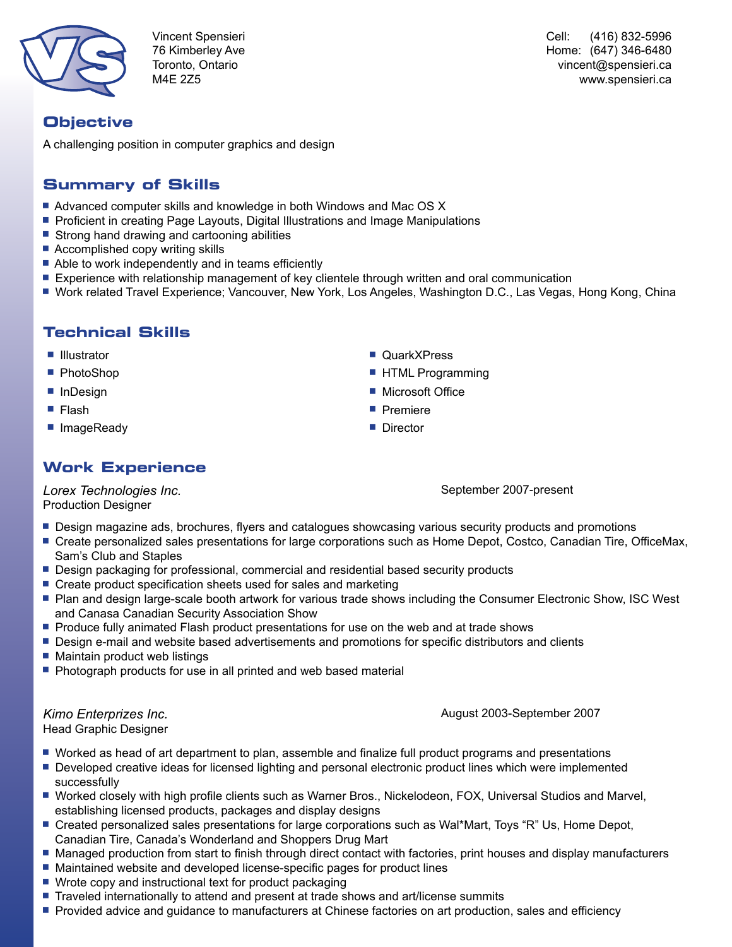

Vincent Spensieri 76 Kimberley Ave Toronto, Ontario M4E 2Z5

Cell: (416) 832-5996 Home: (647) 346-6480 vincent@spensieri.ca www.spensieri.ca

### **Objective**

A challenging position in computer graphics and design

### **Summary of Skills**

- Advanced computer skills and knowledge in both Windows and Mac OS X
- **Proficient in creating Page Layouts, Digital Illustrations and Image Manipulations**
- Strong hand drawing and cartooning abilities
- Accomplished copy writing skills
- $\blacksquare$  Able to work independently and in teams efficiently
- **Experience with relationship management of key clientele through written and oral communication**
- Work related Travel Experience; Vancouver, New York, Los Angeles, Washington D.C., Las Vegas, Hong Kong, China

### **Technical Skills**

- 
- 
- 
- 
- ImageReady **g Director**

## **Work Experience**

*Lorex Technologies Inc.* Production Designer

**Design magazine ads, brochures, flyers and catalogues showcasing various security products and promotions** 

- Create personalized sales presentations for large corporations such as Home Depot, Costco, Canadian Tire, OfficeMax, Sam's Club and Staples
- **Design packaging for professional, commercial and residential based security products**
- Create product specification sheets used for sales and marketing
- **Plan and design large-scale booth artwork for various trade shows including the Consumer Electronic Show, ISC West** and Canasa Canadian Security Association Show
- **Produce fully animated Flash product presentations for use on the web and at trade shows**
- **Design e-mail and website based advertisements and promotions for specific distributors and clients**
- $\blacksquare$  Maintain product web listings
- **Photograph products for use in all printed and web based material**

*Kimo Enterprizes Inc.*

August 2003-September 2007

Head Graphic Designer

- Worked as head of art department to plan, assemble and finalize full product programs and presentations
- **Developed creative ideas for licensed lighting and personal electronic product lines which were implemented** successfully
- <sup>g</sup> Worked closely with high profile clients such as Warner Bros., Nickelodeon, FOX, Universal Studios and Marvel, establishing licensed products, packages and display designs
- Created personalized sales presentations for large corporations such as Wal\*Mart, Toys "R" Us, Home Depot, Canadian Tire, Canada's Wonderland and Shoppers Drug Mart
- **Managed production from start to finish through direct contact with factories, print houses and display manufacturers**
- Maintained website and developed license-specific pages for product lines
- $\blacksquare$  Wrote copy and instructional text for product packaging
- **Traveled internationally to attend and present at trade shows and art/license summits**
- **Provided advice and guidance to manufacturers at Chinese factories on art production, sales and efficiency**
- **Example 3** Illustrator **Given**  $\blacksquare$  QuarkXPress
- PhotoShop g HTML Programming
- **Findesign g Microsoft Office**
- Flash g Premiere
	-

September 2007-present